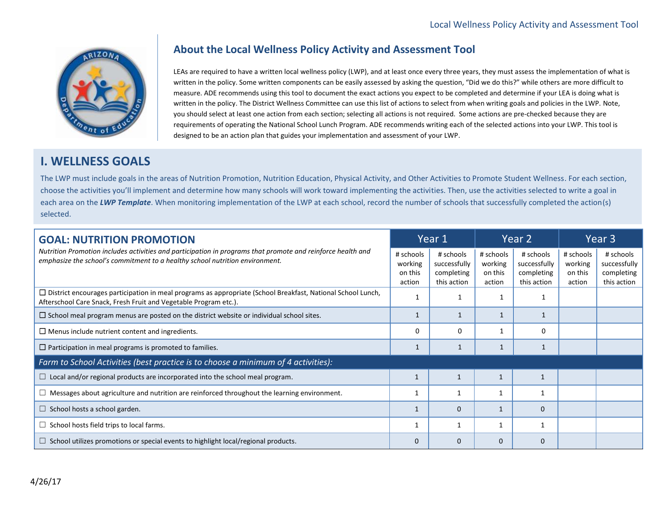

### **About the Local Wellness Policy Activity and Assessment Tool**

LEAs are required to have a written local wellness policy (LWP), and at least once every three years, they must assess the implementation of what is written in the policy. Some written components can be easily assessed by asking the question, "Did we do this?" while others are more difficult to measure. ADE recommends using this tool to document the exact actions you expect to be completed and determine if your LEA is doing what is written in the policy. The District Wellness Committee can use this list of actions to select from when writing goals and policies in the LWP. Note, you should select at least one action from each section; selecting all actions is not required. Some actions are pre-checked because they are requirements of operating the National School Lunch Program. ADE recommends writing each of the selected actions into your LWP. This tool is designed to be an action plan that guides your implementation and assessment of your LWP.

# **I. WELLNESS GOALS**

The LWP must include goals in the areas of Nutrition Promotion, Nutrition Education, Physical Activity, and Other Activities to Promote Student Wellness. For each section, choose the activities you'll implement and determine how many schools will work toward implementing the activities. Then, use the activities selected to write a goal in each area on the *LWP Template*. When monitoring implementation of the LWP at each school, record the number of schools that successfully completed the action(s) selected.

| <b>GOAL: NUTRITION PROMOTION</b>                                                                                                                                                            |                                           | Year 1                                                 |                                           | Year 2                                                 |                                           | Year 3                                                 |
|---------------------------------------------------------------------------------------------------------------------------------------------------------------------------------------------|-------------------------------------------|--------------------------------------------------------|-------------------------------------------|--------------------------------------------------------|-------------------------------------------|--------------------------------------------------------|
| Nutrition Promotion includes activities and participation in programs that promote and reinforce health and<br>emphasize the school's commitment to a healthy school nutrition environment. | # schools<br>working<br>on this<br>action | # schools<br>successfully<br>completing<br>this action | # schools<br>working<br>on this<br>action | # schools<br>successfully<br>completing<br>this action | # schools<br>working<br>on this<br>action | # schools<br>successfully<br>completing<br>this action |
| $\Box$ District encourages participation in meal programs as appropriate (School Breakfast, National School Lunch,<br>Afterschool Care Snack, Fresh Fruit and Vegetable Program etc.).      |                                           |                                                        |                                           |                                                        |                                           |                                                        |
| $\Box$ School meal program menus are posted on the district website or individual school sites.                                                                                             |                                           | $\mathbf{1}$                                           |                                           |                                                        |                                           |                                                        |
| $\Box$ Menus include nutrient content and ingredients.                                                                                                                                      | 0                                         | $\Omega$                                               |                                           | 0                                                      |                                           |                                                        |
| $\Box$ Participation in meal programs is promoted to families.                                                                                                                              |                                           | 1                                                      |                                           |                                                        |                                           |                                                        |
| Farm to School Activities (best practice is to choose a minimum of 4 activities):                                                                                                           |                                           |                                                        |                                           |                                                        |                                           |                                                        |
| $\Box$ Local and/or regional products are incorporated into the school meal program.                                                                                                        |                                           |                                                        |                                           | $\mathbf{1}$                                           |                                           |                                                        |
| Messages about agriculture and nutrition are reinforced throughout the learning environment.                                                                                                |                                           |                                                        |                                           |                                                        |                                           |                                                        |
| $\Box$ School hosts a school garden.                                                                                                                                                        |                                           | $\mathbf{0}$                                           |                                           | $\mathbf{0}$                                           |                                           |                                                        |
| School hosts field trips to local farms.                                                                                                                                                    |                                           |                                                        |                                           |                                                        |                                           |                                                        |
| $\Box$ School utilizes promotions or special events to highlight local/regional products.                                                                                                   | $\Omega$                                  | $\Omega$                                               | 0                                         | $\Omega$                                               |                                           |                                                        |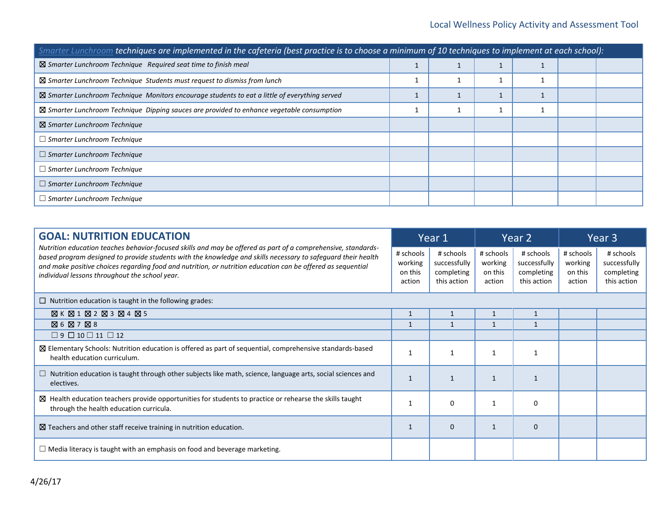| Smarter Lunchroom techniques are implemented in the cafeteria (best practice is to choose a minimum of 10 techniques to implement at each school): |  |  |  |  |  |  |  |
|----------------------------------------------------------------------------------------------------------------------------------------------------|--|--|--|--|--|--|--|
| $\boxtimes$ Smarter Lunchroom Technique Required seat time to finish meal                                                                          |  |  |  |  |  |  |  |
| ⊠ Smarter Lunchroom Technique Students must request to dismiss from lunch                                                                          |  |  |  |  |  |  |  |
| $\boxtimes$ Smarter Lunchroom Technique Monitors encourage students to eat a little of everything served                                           |  |  |  |  |  |  |  |
| $\boxtimes$ Smarter Lunchroom Technique Dipping sauces are provided to enhance vegetable consumption                                               |  |  |  |  |  |  |  |
| ⊠ Smarter Lunchroom Technique                                                                                                                      |  |  |  |  |  |  |  |
| Smarter Lunchroom Technique                                                                                                                        |  |  |  |  |  |  |  |
| $\Box$ Smarter Lunchroom Technique                                                                                                                 |  |  |  |  |  |  |  |
| Smarter Lunchroom Technique                                                                                                                        |  |  |  |  |  |  |  |
| $\Box$ Smarter Lunchroom Technique                                                                                                                 |  |  |  |  |  |  |  |
| Smarter Lunchroom Technique                                                                                                                        |  |  |  |  |  |  |  |

| <b>GOAL: NUTRITION EDUCATION</b><br>Nutrition education teaches behavior-focused skills and may be offered as part of a comprehensive, standards-<br>based program designed to provide students with the knowledge and skills necessary to safeguard their health<br>and make positive choices regarding food and nutrition, or nutrition education can be offered as sequential<br>individual lessons throughout the school year. |                                           | Year 1                                                 |                                           | Year 2                                                 |                                           | Year 3                                                 |
|------------------------------------------------------------------------------------------------------------------------------------------------------------------------------------------------------------------------------------------------------------------------------------------------------------------------------------------------------------------------------------------------------------------------------------|-------------------------------------------|--------------------------------------------------------|-------------------------------------------|--------------------------------------------------------|-------------------------------------------|--------------------------------------------------------|
|                                                                                                                                                                                                                                                                                                                                                                                                                                    | # schools<br>working<br>on this<br>action | # schools<br>successfully<br>completing<br>this action | # schools<br>working<br>on this<br>action | # schools<br>successfully<br>completing<br>this action | # schools<br>working<br>on this<br>action | # schools<br>successfully<br>completing<br>this action |
| $\Box$ Nutrition education is taught in the following grades:                                                                                                                                                                                                                                                                                                                                                                      |                                           |                                                        |                                           |                                                        |                                           |                                                        |
| $\boxtimes K \boxtimes 1 \boxtimes 2 \boxtimes 3 \boxtimes 4 \boxtimes 5$                                                                                                                                                                                                                                                                                                                                                          |                                           |                                                        | 1                                         | 1                                                      |                                           |                                                        |
| 図6図7図8                                                                                                                                                                                                                                                                                                                                                                                                                             |                                           |                                                        | 1                                         |                                                        |                                           |                                                        |
| $\Box$<br>9 $\Box$ 10 $\Box$<br>11 $\Box$<br>12                                                                                                                                                                                                                                                                                                                                                                                    |                                           |                                                        |                                           |                                                        |                                           |                                                        |
| ⊠ Elementary Schools: Nutrition education is offered as part of sequential, comprehensive standards-based<br>health education curriculum.                                                                                                                                                                                                                                                                                          |                                           |                                                        |                                           |                                                        |                                           |                                                        |
| $\Box$ Nutrition education is taught through other subjects like math, science, language arts, social sciences and<br>electives.                                                                                                                                                                                                                                                                                                   |                                           |                                                        |                                           |                                                        |                                           |                                                        |
| $\boxtimes$ Health education teachers provide opportunities for students to practice or rehearse the skills taught<br>through the health education curricula.                                                                                                                                                                                                                                                                      |                                           | $\Omega$                                               | 1                                         | $\Omega$                                               |                                           |                                                        |
| $\boxtimes$ Teachers and other staff receive training in nutrition education.                                                                                                                                                                                                                                                                                                                                                      |                                           | $\mathbf{0}$                                           |                                           | $\Omega$                                               |                                           |                                                        |
| $\Box$ Media literacy is taught with an emphasis on food and beverage marketing.                                                                                                                                                                                                                                                                                                                                                   |                                           |                                                        |                                           |                                                        |                                           |                                                        |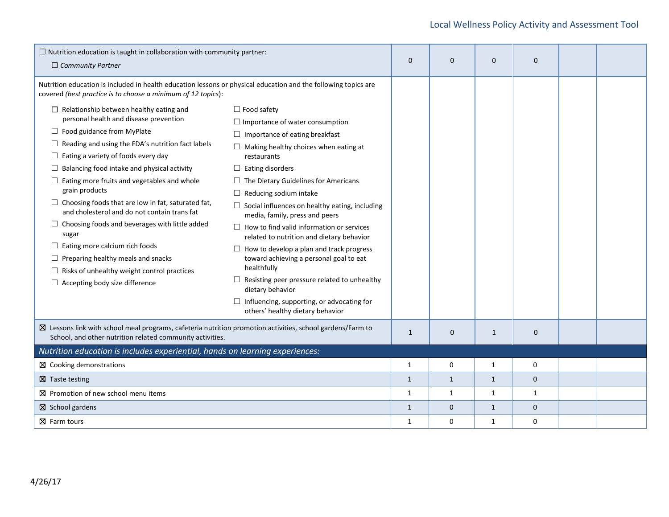| $\Box$ Nutrition education is taught in collaboration with community partner:                                                                                                                                                                                                                                                                                                                                                                                                                                                                                                                                                                                                                                              |                                                                                                                                                                                                                                                                                                                                                                                                                                                                                                                                                                                                                                                                                                                                                              |              |              |              |              |  |
|----------------------------------------------------------------------------------------------------------------------------------------------------------------------------------------------------------------------------------------------------------------------------------------------------------------------------------------------------------------------------------------------------------------------------------------------------------------------------------------------------------------------------------------------------------------------------------------------------------------------------------------------------------------------------------------------------------------------------|--------------------------------------------------------------------------------------------------------------------------------------------------------------------------------------------------------------------------------------------------------------------------------------------------------------------------------------------------------------------------------------------------------------------------------------------------------------------------------------------------------------------------------------------------------------------------------------------------------------------------------------------------------------------------------------------------------------------------------------------------------------|--------------|--------------|--------------|--------------|--|
| $\Box$ Community Partner                                                                                                                                                                                                                                                                                                                                                                                                                                                                                                                                                                                                                                                                                                   |                                                                                                                                                                                                                                                                                                                                                                                                                                                                                                                                                                                                                                                                                                                                                              | $\Omega$     | $\Omega$     | $\Omega$     | $\mathbf{0}$ |  |
| Nutrition education is included in health education lessons or physical education and the following topics are<br>covered (best practice is to choose a minimum of 12 topics):                                                                                                                                                                                                                                                                                                                                                                                                                                                                                                                                             |                                                                                                                                                                                                                                                                                                                                                                                                                                                                                                                                                                                                                                                                                                                                                              |              |              |              |              |  |
| $\Box$ Relationship between healthy eating and<br>personal health and disease prevention<br>$\Box$ Food guidance from MyPlate<br>Reading and using the FDA's nutrition fact labels<br>Eating a variety of foods every day<br>□<br>Balancing food intake and physical activity<br>Eating more fruits and vegetables and whole<br>⊔<br>grain products<br>$\Box$ Choosing foods that are low in fat, saturated fat,<br>and cholesterol and do not contain trans fat<br>$\Box$ Choosing foods and beverages with little added<br>sugar<br>$\Box$ Eating more calcium rich foods<br>Preparing healthy meals and snacks<br>$\Box$<br>$\Box$ Risks of unhealthy weight control practices<br>$\Box$ Accepting body size difference | $\Box$ Food safety<br>$\Box$ Importance of water consumption<br>$\Box$ Importance of eating breakfast<br>$\Box$ Making healthy choices when eating at<br>restaurants<br>$\Box$ Eating disorders<br>$\Box$ The Dietary Guidelines for Americans<br>$\Box$ Reducing sodium intake<br>$\Box$ Social influences on healthy eating, including<br>media, family, press and peers<br>$\Box$ How to find valid information or services<br>related to nutrition and dietary behavior<br>$\Box$ How to develop a plan and track progress<br>toward achieving a personal goal to eat<br>healthfully<br>$\Box$ Resisting peer pressure related to unhealthy<br>dietary behavior<br>$\Box$ Influencing, supporting, or advocating for<br>others' healthy dietary behavior |              |              |              |              |  |
| ⊠ Lessons link with school meal programs, cafeteria nutrition promotion activities, school gardens/Farm to<br>School, and other nutrition related community activities.                                                                                                                                                                                                                                                                                                                                                                                                                                                                                                                                                    |                                                                                                                                                                                                                                                                                                                                                                                                                                                                                                                                                                                                                                                                                                                                                              | $\mathbf{1}$ | $\mathbf{0}$ | $\mathbf{1}$ | $\mathbf 0$  |  |
| Nutrition education is includes experiential, hands on learning experiences:                                                                                                                                                                                                                                                                                                                                                                                                                                                                                                                                                                                                                                               |                                                                                                                                                                                                                                                                                                                                                                                                                                                                                                                                                                                                                                                                                                                                                              |              |              |              |              |  |
| ⊠ Cooking demonstrations                                                                                                                                                                                                                                                                                                                                                                                                                                                                                                                                                                                                                                                                                                   |                                                                                                                                                                                                                                                                                                                                                                                                                                                                                                                                                                                                                                                                                                                                                              | $\mathbf{1}$ | $\mathbf 0$  | $\mathbf{1}$ | 0            |  |
| $\boxtimes$ Taste testing                                                                                                                                                                                                                                                                                                                                                                                                                                                                                                                                                                                                                                                                                                  |                                                                                                                                                                                                                                                                                                                                                                                                                                                                                                                                                                                                                                                                                                                                                              | $\mathbf{1}$ | $\mathbf{1}$ | $\mathbf{1}$ | $\mathbf 0$  |  |
| ⊠ Promotion of new school menu items                                                                                                                                                                                                                                                                                                                                                                                                                                                                                                                                                                                                                                                                                       |                                                                                                                                                                                                                                                                                                                                                                                                                                                                                                                                                                                                                                                                                                                                                              | $\mathbf{1}$ | $\mathbf{1}$ | $\mathbf{1}$ | $\mathbf{1}$ |  |
| $\boxtimes$ School gardens                                                                                                                                                                                                                                                                                                                                                                                                                                                                                                                                                                                                                                                                                                 |                                                                                                                                                                                                                                                                                                                                                                                                                                                                                                                                                                                                                                                                                                                                                              | $\mathbf{1}$ | $\mathbf{0}$ | $\mathbf{1}$ | $\mathbf 0$  |  |
| $\boxtimes$ Farm tours                                                                                                                                                                                                                                                                                                                                                                                                                                                                                                                                                                                                                                                                                                     |                                                                                                                                                                                                                                                                                                                                                                                                                                                                                                                                                                                                                                                                                                                                                              | $\mathbf{1}$ | $\Omega$     | $\mathbf{1}$ | $\mathbf 0$  |  |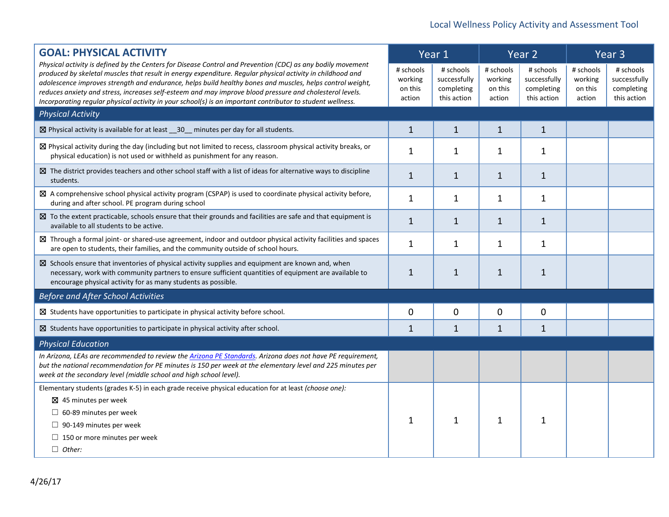| <b>GOAL: PHYSICAL ACTIVITY</b><br>Physical activity is defined by the Centers for Disease Control and Prevention (CDC) as any bodily movement                                                                                                                                                                                                                                                                                                     | Year 1                                    |                                                        | Year 2                                    |                                                        | Year 3                                    |                                                        |
|---------------------------------------------------------------------------------------------------------------------------------------------------------------------------------------------------------------------------------------------------------------------------------------------------------------------------------------------------------------------------------------------------------------------------------------------------|-------------------------------------------|--------------------------------------------------------|-------------------------------------------|--------------------------------------------------------|-------------------------------------------|--------------------------------------------------------|
| produced by skeletal muscles that result in energy expenditure. Regular physical activity in childhood and<br>adolescence improves strength and endurance, helps build healthy bones and muscles, helps control weight,<br>reduces anxiety and stress, increases self-esteem and may improve blood pressure and cholesterol levels.<br>Incorporating regular physical activity in your school(s) is an important contributor to student wellness. | # schools<br>working<br>on this<br>action | # schools<br>successfully<br>completing<br>this action | # schools<br>working<br>on this<br>action | # schools<br>successfully<br>completing<br>this action | # schools<br>working<br>on this<br>action | # schools<br>successfully<br>completing<br>this action |
| <b>Physical Activity</b>                                                                                                                                                                                                                                                                                                                                                                                                                          |                                           |                                                        |                                           |                                                        |                                           |                                                        |
| $\boxtimes$ Physical activity is available for at least __30 __ minutes per day for all students.                                                                                                                                                                                                                                                                                                                                                 | $\mathbf{1}$                              | $\mathbf{1}$                                           | $\mathbf{1}$                              | $\mathbf{1}$                                           |                                           |                                                        |
| $\boxtimes$ Physical activity during the day (including but not limited to recess, classroom physical activity breaks, or<br>physical education) is not used or withheld as punishment for any reason.                                                                                                                                                                                                                                            | 1                                         | 1                                                      | 1                                         | 1                                                      |                                           |                                                        |
| $\boxtimes$ The district provides teachers and other school staff with a list of ideas for alternative ways to discipline<br>students.                                                                                                                                                                                                                                                                                                            | $\mathbf{1}$                              | $\mathbf{1}$                                           | $\mathbf{1}$                              | $\mathbf{1}$                                           |                                           |                                                        |
| $\boxtimes$ A comprehensive school physical activity program (CSPAP) is used to coordinate physical activity before,<br>during and after school. PE program during school                                                                                                                                                                                                                                                                         | $\mathbf{1}$                              | $\mathbf{1}$                                           | 1                                         | $\mathbf{1}$                                           |                                           |                                                        |
| $\boxtimes$ To the extent practicable, schools ensure that their grounds and facilities are safe and that equipment is<br>available to all students to be active.                                                                                                                                                                                                                                                                                 | $\mathbf{1}$                              | $\mathbf{1}$                                           | $\mathbf{1}$                              | $\mathbf{1}$                                           |                                           |                                                        |
| ⊠ Through a formal joint- or shared-use agreement, indoor and outdoor physical activity facilities and spaces<br>are open to students, their families, and the community outside of school hours.                                                                                                                                                                                                                                                 | $\mathbf{1}$                              | $\mathbf{1}$                                           | 1                                         | $\mathbf{1}$                                           |                                           |                                                        |
| $\boxtimes$ Schools ensure that inventories of physical activity supplies and equipment are known and, when<br>necessary, work with community partners to ensure sufficient quantities of equipment are available to<br>encourage physical activity for as many students as possible.                                                                                                                                                             | $\mathbf{1}$                              | 1                                                      | 1                                         | $\mathbf{1}$                                           |                                           |                                                        |
| <b>Before and After School Activities</b>                                                                                                                                                                                                                                                                                                                                                                                                         |                                           |                                                        |                                           |                                                        |                                           |                                                        |
| $\boxtimes$ Students have opportunities to participate in physical activity before school.                                                                                                                                                                                                                                                                                                                                                        | 0                                         | $\mathbf 0$                                            | $\mathbf 0$                               | $\mathbf 0$                                            |                                           |                                                        |
| $\boxtimes$ Students have opportunities to participate in physical activity after school.                                                                                                                                                                                                                                                                                                                                                         | $\mathbf{1}$                              | $\mathbf{1}$                                           | $\mathbf{1}$                              | 1                                                      |                                           |                                                        |
| <b>Physical Education</b>                                                                                                                                                                                                                                                                                                                                                                                                                         |                                           |                                                        |                                           |                                                        |                                           |                                                        |
| In Arizona, LEAs are recommended to review the Arizona PE Standards. Arizona does not have PE requirement,<br>but the national recommendation for PE minutes is 150 per week at the elementary level and 225 minutes per<br>week at the secondary level (middle school and high school level).                                                                                                                                                    |                                           |                                                        |                                           |                                                        |                                           |                                                        |
| Elementary students (grades K-5) in each grade receive physical education for at least (choose one):                                                                                                                                                                                                                                                                                                                                              |                                           |                                                        |                                           |                                                        |                                           |                                                        |
| ⊠ 45 minutes per week                                                                                                                                                                                                                                                                                                                                                                                                                             |                                           |                                                        |                                           |                                                        |                                           |                                                        |
| $\Box$ 60-89 minutes per week                                                                                                                                                                                                                                                                                                                                                                                                                     |                                           |                                                        |                                           |                                                        |                                           |                                                        |
| $\Box$ 90-149 minutes per week                                                                                                                                                                                                                                                                                                                                                                                                                    | $\mathbf{1}$                              | 1                                                      | 1                                         | $\mathbf{1}$                                           |                                           |                                                        |
| $\Box$ 150 or more minutes per week                                                                                                                                                                                                                                                                                                                                                                                                               |                                           |                                                        |                                           |                                                        |                                           |                                                        |
| $\Box$ Other:                                                                                                                                                                                                                                                                                                                                                                                                                                     |                                           |                                                        |                                           |                                                        |                                           |                                                        |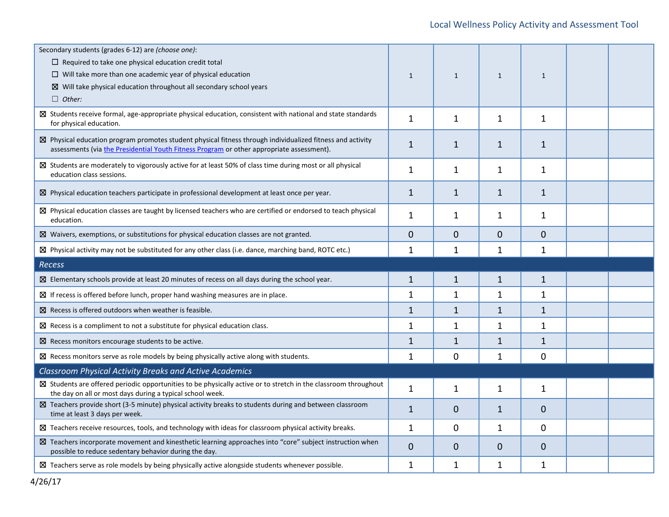| Secondary students (grades 6-12) are (choose one):                                                                                                                                                      |                |                |              |                |  |
|---------------------------------------------------------------------------------------------------------------------------------------------------------------------------------------------------------|----------------|----------------|--------------|----------------|--|
| $\Box$ Required to take one physical education credit total                                                                                                                                             |                |                |              |                |  |
| $\Box$ Will take more than one academic year of physical education                                                                                                                                      | $\mathbf{1}$   | $\mathbf{1}$   | $\mathbf{1}$ | $\mathbf{1}$   |  |
| $\boxtimes$ Will take physical education throughout all secondary school years                                                                                                                          |                |                |              |                |  |
| $\Box$ Other:                                                                                                                                                                                           |                |                |              |                |  |
| $\boxtimes$ Students receive formal, age-appropriate physical education, consistent with national and state standards<br>for physical education.                                                        | $\mathbf{1}$   | 1              | 1            | 1              |  |
| ⊠ Physical education program promotes student physical fitness through individualized fitness and activity<br>assessments (via the Presidential Youth Fitness Program or other appropriate assessment). | $\mathbf{1}$   | $\mathbf{1}$   | $\mathbf{1}$ | $\mathbf{1}$   |  |
| $\boxtimes$ Students are moderately to vigorously active for at least 50% of class time during most or all physical<br>education class sessions.                                                        | $\mathbf{1}$   | $\mathbf{1}$   | $\mathbf{1}$ | $\mathbf{1}$   |  |
| $\boxtimes$ Physical education teachers participate in professional development at least once per year.                                                                                                 | $\mathbf{1}$   | $\mathbf{1}$   | $\mathbf{1}$ | $\mathbf{1}$   |  |
| $\boxtimes$ Physical education classes are taught by licensed teachers who are certified or endorsed to teach physical<br>education.                                                                    | $\mathbf{1}$   | 1              | 1            | $\mathbf{1}$   |  |
| $\boxtimes$ Waivers, exemptions, or substitutions for physical education classes are not granted.                                                                                                       | 0              | 0              | 0            | $\mathbf{0}$   |  |
| ⊠ Physical activity may not be substituted for any other class (i.e. dance, marching band, ROTC etc.)                                                                                                   | $\mathbf{1}$   | $\mathbf{1}$   | 1            | $\mathbf{1}$   |  |
|                                                                                                                                                                                                         |                |                |              |                |  |
| Recess                                                                                                                                                                                                  |                |                |              |                |  |
| $\boxtimes$ Elementary schools provide at least 20 minutes of recess on all days during the school year.                                                                                                | $\mathbf{1}$   | $\mathbf{1}$   | $\mathbf{1}$ | $\mathbf{1}$   |  |
| $\boxtimes$ If recess is offered before lunch, proper hand washing measures are in place.                                                                                                               | $\mathbf{1}$   | $\mathbf{1}$   | $\mathbf{1}$ | $\mathbf{1}$   |  |
| $\boxtimes$ Recess is offered outdoors when weather is feasible.                                                                                                                                        | $\mathbf{1}$   | $\mathbf{1}$   | $\mathbf{1}$ | $\mathbf{1}$   |  |
| $\boxtimes$ Recess is a compliment to not a substitute for physical education class.                                                                                                                    | $\mathbf{1}$   | 1              | $\mathbf{1}$ | $\mathbf{1}$   |  |
| $\boxtimes$ Recess monitors encourage students to be active.                                                                                                                                            | $\overline{1}$ | $\mathbf{1}$   | $\mathbf{1}$ | $\mathbf{1}$   |  |
| $\boxtimes$ Recess monitors serve as role models by being physically active along with students.                                                                                                        | $\mathbf{1}$   | 0              | $\mathbf{1}$ | 0              |  |
| <b>Classroom Physical Activity Breaks and Active Academics</b>                                                                                                                                          |                |                |              |                |  |
| ⊠ Students are offered periodic opportunities to be physically active or to stretch in the classroom throughout<br>the day on all or most days during a typical school week.                            | $\mathbf{1}$   | $\mathbf{1}$   | $\mathbf{1}$ | $\mathbf{1}$   |  |
| ⊠ Teachers provide short (3-5 minute) physical activity breaks to students during and between classroom<br>time at least 3 days per week.                                                               | $\mathbf{1}$   | $\overline{0}$ | $\mathbf{1}$ | $\overline{0}$ |  |
| ⊠ Teachers receive resources, tools, and technology with ideas for classroom physical activity breaks.                                                                                                  | $\mathbf{1}$   | 0              | $\mathbf{1}$ | $\mathbf 0$    |  |
| ⊠ Teachers incorporate movement and kinesthetic learning approaches into "core" subject instruction when<br>possible to reduce sedentary behavior during the day.                                       | $\overline{0}$ | 0              | $\mathbf 0$  | $\mathbf 0$    |  |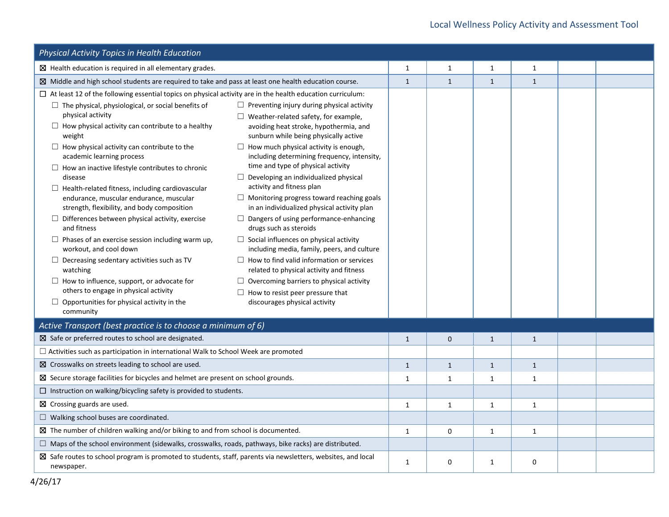| <b>Physical Activity Topics in Health Education</b>                                                                                                                                                                                                                                                                                                                                                                                                                                                                                                                                                                                                                                                                                                                                                                                                                                                                                                                                    |                                                                                                                                                                                                                                                                                                                                                                                                                                                                                                                                                                                                                                                                                                                                                                                                                                                                                                                    |              |              |              |              |  |
|----------------------------------------------------------------------------------------------------------------------------------------------------------------------------------------------------------------------------------------------------------------------------------------------------------------------------------------------------------------------------------------------------------------------------------------------------------------------------------------------------------------------------------------------------------------------------------------------------------------------------------------------------------------------------------------------------------------------------------------------------------------------------------------------------------------------------------------------------------------------------------------------------------------------------------------------------------------------------------------|--------------------------------------------------------------------------------------------------------------------------------------------------------------------------------------------------------------------------------------------------------------------------------------------------------------------------------------------------------------------------------------------------------------------------------------------------------------------------------------------------------------------------------------------------------------------------------------------------------------------------------------------------------------------------------------------------------------------------------------------------------------------------------------------------------------------------------------------------------------------------------------------------------------------|--------------|--------------|--------------|--------------|--|
| $\boxtimes$ Health education is required in all elementary grades.                                                                                                                                                                                                                                                                                                                                                                                                                                                                                                                                                                                                                                                                                                                                                                                                                                                                                                                     |                                                                                                                                                                                                                                                                                                                                                                                                                                                                                                                                                                                                                                                                                                                                                                                                                                                                                                                    | $\mathbf{1}$ | $\mathbf{1}$ | $\mathbf{1}$ | $\mathbf{1}$ |  |
| $\boxtimes$ Middle and high school students are required to take and pass at least one health education course.                                                                                                                                                                                                                                                                                                                                                                                                                                                                                                                                                                                                                                                                                                                                                                                                                                                                        |                                                                                                                                                                                                                                                                                                                                                                                                                                                                                                                                                                                                                                                                                                                                                                                                                                                                                                                    | $\mathbf{1}$ | $\mathbf{1}$ | $\mathbf{1}$ | $\mathbf{1}$ |  |
| $\Box$ At least 12 of the following essential topics on physical activity are in the health education curriculum:<br>$\Box$ The physical, physiological, or social benefits of<br>physical activity<br>$\Box$ How physical activity can contribute to a healthy<br>weight<br>$\Box$ How physical activity can contribute to the<br>academic learning process<br>$\Box$ How an inactive lifestyle contributes to chronic<br>disease<br>$\Box$ Health-related fitness, including cardiovascular<br>endurance, muscular endurance, muscular<br>strength, flexibility, and body composition<br>$\Box$ Differences between physical activity, exercise<br>and fitness<br>$\Box$ Phases of an exercise session including warm up,<br>workout, and cool down<br>$\Box$ Decreasing sedentary activities such as TV<br>watching<br>$\Box$ How to influence, support, or advocate for<br>others to engage in physical activity<br>$\Box$ Opportunities for physical activity in the<br>community | $\Box$ Preventing injury during physical activity<br>$\Box$ Weather-related safety, for example,<br>avoiding heat stroke, hypothermia, and<br>sunburn while being physically active<br>$\Box$ How much physical activity is enough,<br>including determining frequency, intensity,<br>time and type of physical activity<br>$\Box$ Developing an individualized physical<br>activity and fitness plan<br>$\Box$ Monitoring progress toward reaching goals<br>in an individualized physical activity plan<br>$\Box$ Dangers of using performance-enhancing<br>drugs such as steroids<br>$\Box$ Social influences on physical activity<br>including media, family, peers, and culture<br>$\Box$ How to find valid information or services<br>related to physical activity and fitness<br>$\Box$ Overcoming barriers to physical activity<br>$\Box$ How to resist peer pressure that<br>discourages physical activity |              |              |              |              |  |
| Active Transport (best practice is to choose a minimum of 6)                                                                                                                                                                                                                                                                                                                                                                                                                                                                                                                                                                                                                                                                                                                                                                                                                                                                                                                           |                                                                                                                                                                                                                                                                                                                                                                                                                                                                                                                                                                                                                                                                                                                                                                                                                                                                                                                    |              |              |              |              |  |
| $\boxtimes$ Safe or preferred routes to school are designated.<br>$\Box$ Activities such as participation in international Walk to School Week are promoted                                                                                                                                                                                                                                                                                                                                                                                                                                                                                                                                                                                                                                                                                                                                                                                                                            |                                                                                                                                                                                                                                                                                                                                                                                                                                                                                                                                                                                                                                                                                                                                                                                                                                                                                                                    | $\mathbf{1}$ | $\mathbf 0$  | $1\,$        | $\mathbf{1}$ |  |
| $\boxtimes$ Crosswalks on streets leading to school are used.                                                                                                                                                                                                                                                                                                                                                                                                                                                                                                                                                                                                                                                                                                                                                                                                                                                                                                                          |                                                                                                                                                                                                                                                                                                                                                                                                                                                                                                                                                                                                                                                                                                                                                                                                                                                                                                                    | $\mathbf{1}$ | $\mathbf{1}$ | $\mathbf{1}$ | $\mathbf{1}$ |  |
| $\boxtimes$ Secure storage facilities for bicycles and helmet are present on school grounds.                                                                                                                                                                                                                                                                                                                                                                                                                                                                                                                                                                                                                                                                                                                                                                                                                                                                                           |                                                                                                                                                                                                                                                                                                                                                                                                                                                                                                                                                                                                                                                                                                                                                                                                                                                                                                                    | $\mathbf{1}$ | $\mathbf{1}$ | $\mathbf{1}$ | $\mathbf{1}$ |  |
| $\Box$ Instruction on walking/bicycling safety is provided to students.                                                                                                                                                                                                                                                                                                                                                                                                                                                                                                                                                                                                                                                                                                                                                                                                                                                                                                                |                                                                                                                                                                                                                                                                                                                                                                                                                                                                                                                                                                                                                                                                                                                                                                                                                                                                                                                    |              |              |              |              |  |
| $\boxtimes$ Crossing guards are used.                                                                                                                                                                                                                                                                                                                                                                                                                                                                                                                                                                                                                                                                                                                                                                                                                                                                                                                                                  |                                                                                                                                                                                                                                                                                                                                                                                                                                                                                                                                                                                                                                                                                                                                                                                                                                                                                                                    | $\mathbf{1}$ | $\mathbf{1}$ | $\mathbf{1}$ | $\mathbf{1}$ |  |
| $\Box$ Walking school buses are coordinated.                                                                                                                                                                                                                                                                                                                                                                                                                                                                                                                                                                                                                                                                                                                                                                                                                                                                                                                                           |                                                                                                                                                                                                                                                                                                                                                                                                                                                                                                                                                                                                                                                                                                                                                                                                                                                                                                                    |              |              |              |              |  |
| $\boxtimes$ The number of children walking and/or biking to and from school is documented.                                                                                                                                                                                                                                                                                                                                                                                                                                                                                                                                                                                                                                                                                                                                                                                                                                                                                             |                                                                                                                                                                                                                                                                                                                                                                                                                                                                                                                                                                                                                                                                                                                                                                                                                                                                                                                    | $\mathbf{1}$ | $\mathbf 0$  | $\mathbf{1}$ | $\mathbf{1}$ |  |
| $\Box$ Maps of the school environment (sidewalks, crosswalks, roads, pathways, bike racks) are distributed.                                                                                                                                                                                                                                                                                                                                                                                                                                                                                                                                                                                                                                                                                                                                                                                                                                                                            |                                                                                                                                                                                                                                                                                                                                                                                                                                                                                                                                                                                                                                                                                                                                                                                                                                                                                                                    |              |              |              |              |  |
| ⊠ Safe routes to school program is promoted to students, staff, parents via newsletters, websites, and local<br>newspaper.                                                                                                                                                                                                                                                                                                                                                                                                                                                                                                                                                                                                                                                                                                                                                                                                                                                             |                                                                                                                                                                                                                                                                                                                                                                                                                                                                                                                                                                                                                                                                                                                                                                                                                                                                                                                    | 1            | 0            | $\mathbf{1}$ | 0            |  |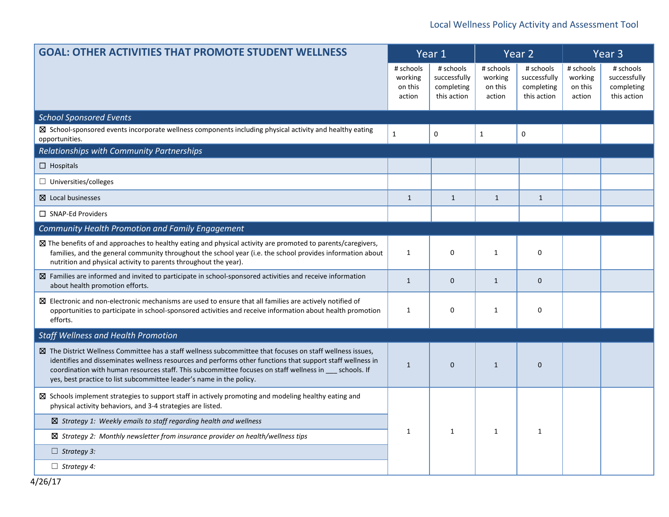#### Local Wellness Policy Activity and Assessment Tool

| <b>GOAL: OTHER ACTIVITIES THAT PROMOTE STUDENT WELLNESS</b>                                                                                                                                                                                                                                                                                                                                                       | Year 1                                    |                                                        | Year 2                                    |                                                        | Year <sub>3</sub>                         |                                                        |
|-------------------------------------------------------------------------------------------------------------------------------------------------------------------------------------------------------------------------------------------------------------------------------------------------------------------------------------------------------------------------------------------------------------------|-------------------------------------------|--------------------------------------------------------|-------------------------------------------|--------------------------------------------------------|-------------------------------------------|--------------------------------------------------------|
|                                                                                                                                                                                                                                                                                                                                                                                                                   | # schools<br>working<br>on this<br>action | # schools<br>successfully<br>completing<br>this action | # schools<br>working<br>on this<br>action | # schools<br>successfully<br>completing<br>this action | # schools<br>working<br>on this<br>action | # schools<br>successfully<br>completing<br>this action |
| <b>School Sponsored Events</b>                                                                                                                                                                                                                                                                                                                                                                                    |                                           |                                                        |                                           |                                                        |                                           |                                                        |
| $\boxtimes$ School-sponsored events incorporate wellness components including physical activity and healthy eating<br>opportunities.                                                                                                                                                                                                                                                                              | $\mathbf{1}$                              | $\mathbf 0$                                            | 1                                         | 0                                                      |                                           |                                                        |
| Relationships with Community Partnerships                                                                                                                                                                                                                                                                                                                                                                         |                                           |                                                        |                                           |                                                        |                                           |                                                        |
| $\Box$ Hospitals                                                                                                                                                                                                                                                                                                                                                                                                  |                                           |                                                        |                                           |                                                        |                                           |                                                        |
| $\Box$ Universities/colleges                                                                                                                                                                                                                                                                                                                                                                                      |                                           |                                                        |                                           |                                                        |                                           |                                                        |
| $\boxtimes$ Local businesses                                                                                                                                                                                                                                                                                                                                                                                      | $\mathbf{1}$                              | $\mathbf{1}$                                           | $\mathbf{1}$                              | $\mathbf{1}$                                           |                                           |                                                        |
| $\Box$ SNAP-Ed Providers                                                                                                                                                                                                                                                                                                                                                                                          |                                           |                                                        |                                           |                                                        |                                           |                                                        |
| Community Health Promotion and Family Engagement                                                                                                                                                                                                                                                                                                                                                                  |                                           |                                                        |                                           |                                                        |                                           |                                                        |
| ⊠ The benefits of and approaches to healthy eating and physical activity are promoted to parents/caregivers,<br>families, and the general community throughout the school year (i.e. the school provides information about<br>nutrition and physical activity to parents throughout the year).                                                                                                                    | $\mathbf{1}$                              | 0                                                      | $\mathbf{1}$                              | 0                                                      |                                           |                                                        |
| $\boxtimes$ Families are informed and invited to participate in school-sponsored activities and receive information<br>about health promotion efforts.                                                                                                                                                                                                                                                            | $\mathbf{1}$                              | $\mathbf{0}$                                           | $\mathbf{1}$                              | $\mathbf{0}$                                           |                                           |                                                        |
| $\boxtimes$ Electronic and non-electronic mechanisms are used to ensure that all families are actively notified of<br>opportunities to participate in school-sponsored activities and receive information about health promotion<br>efforts.                                                                                                                                                                      | 1                                         | 0                                                      | $\mathbf{1}$                              | 0                                                      |                                           |                                                        |
| <b>Staff Wellness and Health Promotion</b>                                                                                                                                                                                                                                                                                                                                                                        |                                           |                                                        |                                           |                                                        |                                           |                                                        |
| $\boxtimes$ The District Wellness Committee has a staff wellness subcommittee that focuses on staff wellness issues,<br>identifies and disseminates wellness resources and performs other functions that support staff wellness in<br>coordination with human resources staff. This subcommittee focuses on staff wellness in schools. If<br>yes, best practice to list subcommittee leader's name in the policy. | $\mathbf{1}$                              | $\mathbf 0$                                            | $\mathbf{1}$                              | $\mathbf{0}$                                           |                                           |                                                        |
| $\boxtimes$ Schools implement strategies to support staff in actively promoting and modeling healthy eating and<br>physical activity behaviors, and 3-4 strategies are listed.                                                                                                                                                                                                                                    |                                           |                                                        |                                           |                                                        |                                           |                                                        |
| $\boxtimes$ Strategy 1: Weekly emails to staff regarding health and wellness                                                                                                                                                                                                                                                                                                                                      |                                           |                                                        |                                           |                                                        |                                           |                                                        |
| $\boxtimes$ Strategy 2: Monthly newsletter from insurance provider on health/wellness tips                                                                                                                                                                                                                                                                                                                        | $\mathbf{1}$                              | $\mathbf{1}$                                           | $\mathbf{1}$                              | 1                                                      |                                           |                                                        |
| $\Box$ Strategy 3:                                                                                                                                                                                                                                                                                                                                                                                                |                                           |                                                        |                                           |                                                        |                                           |                                                        |
| $\Box$ Strategy 4:                                                                                                                                                                                                                                                                                                                                                                                                |                                           |                                                        |                                           |                                                        |                                           |                                                        |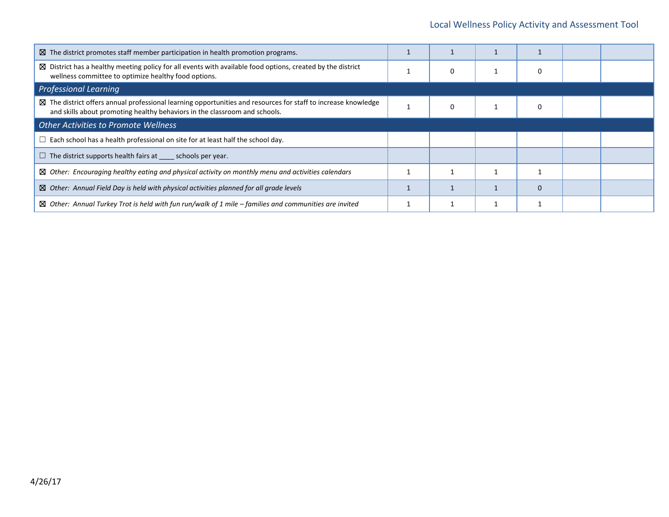| $\boxtimes$ The district promotes staff member participation in health promotion programs.                                                                                                   |   |  |  |
|----------------------------------------------------------------------------------------------------------------------------------------------------------------------------------------------|---|--|--|
| $\boxtimes$ District has a healthy meeting policy for all events with available food options, created by the district<br>wellness committee to optimize healthy food options.                | 0 |  |  |
| <b>Professional Learning</b>                                                                                                                                                                 |   |  |  |
| ⊠ The district offers annual professional learning opportunities and resources for staff to increase knowledge<br>and skills about promoting healthy behaviors in the classroom and schools. | 0 |  |  |
| <b>Other Activities to Promote Wellness</b>                                                                                                                                                  |   |  |  |
| $\Box$ Each school has a health professional on site for at least half the school day.                                                                                                       |   |  |  |
| $\Box$ The district supports health fairs at schools per year.                                                                                                                               |   |  |  |
| $\boxtimes$ Other: Encouraging healthy eating and physical activity on monthly menu and activities calendars                                                                                 |   |  |  |
| $\boxtimes$ Other: Annual Field Day is held with physical activities planned for all grade levels                                                                                            |   |  |  |
| $\boxtimes$ Other: Annual Turkey Trot is held with fun run/walk of 1 mile – families and communities are invited                                                                             |   |  |  |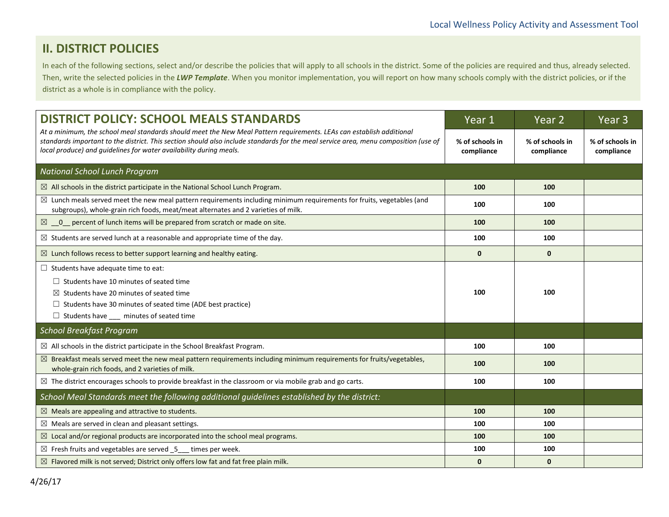# **II. DISTRICT POLICIES**

In each of the following sections, select and/or describe the policies that will apply to all schools in the district. Some of the policies are required and thus, already selected. Then, write the selected policies in the *LWP Template*. When you monitor implementation, you will report on how many schools comply with the district policies, or if the district as a whole is in compliance with the policy.

| <b>DISTRICT POLICY: SCHOOL MEALS STANDARDS</b>                                                                                                                                                                                                                                                                                    | Year 1                        | Year 2                        | Year <sub>3</sub>             |
|-----------------------------------------------------------------------------------------------------------------------------------------------------------------------------------------------------------------------------------------------------------------------------------------------------------------------------------|-------------------------------|-------------------------------|-------------------------------|
| At a minimum, the school meal standards should meet the New Meal Pattern requirements. LEAs can establish additional<br>standards important to the district. This section should also include standards for the meal service area, menu composition (use of<br>local produce) and guidelines for water availability during meals. | % of schools in<br>compliance | % of schools in<br>compliance | % of schools in<br>compliance |
| <b>National School Lunch Program</b>                                                                                                                                                                                                                                                                                              |                               |                               |                               |
| $\boxtimes$ All schools in the district participate in the National School Lunch Program.                                                                                                                                                                                                                                         | 100                           | 100                           |                               |
| $\boxtimes$ Lunch meals served meet the new meal pattern requirements including minimum requirements for fruits, vegetables (and<br>subgroups), whole-grain rich foods, meat/meat alternates and 2 varieties of milk.                                                                                                             | 100                           | 100                           |                               |
| $\boxtimes$ _0_ percent of lunch items will be prepared from scratch or made on site.                                                                                                                                                                                                                                             | 100                           | 100                           |                               |
| $\boxtimes$ Students are served lunch at a reasonable and appropriate time of the day.                                                                                                                                                                                                                                            | 100                           | 100                           |                               |
| $\boxtimes$ Lunch follows recess to better support learning and healthy eating.                                                                                                                                                                                                                                                   | $\mathbf 0$                   | $\mathbf{0}$                  |                               |
| $\Box$ Students have adequate time to eat:<br>$\Box$ Students have 10 minutes of seated time<br>$\boxtimes$ Students have 20 minutes of seated time<br>$\Box$ Students have 30 minutes of seated time (ADE best practice)<br>$\Box$ Students have $\Box$ minutes of seated time                                                   | 100                           | 100                           |                               |
| <b>School Breakfast Program</b>                                                                                                                                                                                                                                                                                                   |                               |                               |                               |
| $\boxtimes$ All schools in the district participate in the School Breakfast Program.                                                                                                                                                                                                                                              | 100                           | 100                           |                               |
| $\boxtimes$ Breakfast meals served meet the new meal pattern requirements including minimum requirements for fruits/vegetables,<br>whole-grain rich foods, and 2 varieties of milk.                                                                                                                                               | 100                           | 100                           |                               |
| $\boxtimes$ The district encourages schools to provide breakfast in the classroom or via mobile grab and go carts.                                                                                                                                                                                                                | 100                           | 100                           |                               |
| School Meal Standards meet the following additional guidelines established by the district:                                                                                                                                                                                                                                       |                               |                               |                               |
| $\boxtimes$ Meals are appealing and attractive to students.                                                                                                                                                                                                                                                                       | 100                           | 100                           |                               |
| $\boxtimes$ Meals are served in clean and pleasant settings.                                                                                                                                                                                                                                                                      | 100                           | 100                           |                               |
| $\boxtimes$ Local and/or regional products are incorporated into the school meal programs.                                                                                                                                                                                                                                        | 100                           | 100                           |                               |
| $\boxtimes$ Fresh fruits and vegetables are served $\_\_5$ times per week.                                                                                                                                                                                                                                                        | 100                           | 100                           |                               |
| $\boxtimes$ Flavored milk is not served; District only offers low fat and fat free plain milk.                                                                                                                                                                                                                                    | $\mathbf 0$                   | $\mathbf{0}$                  |                               |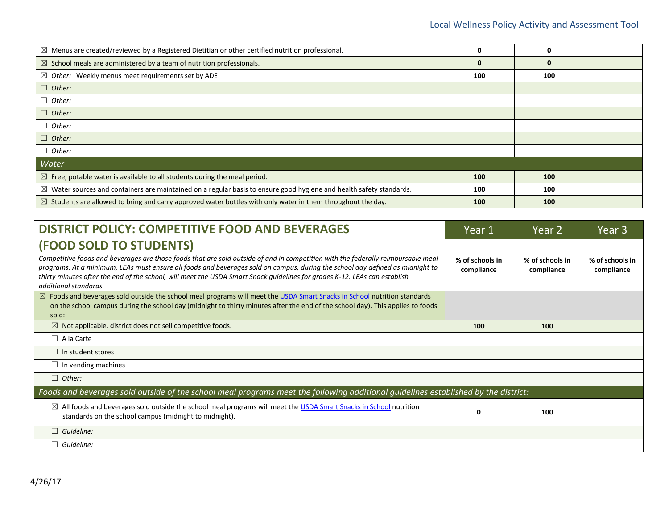| $\boxtimes$ Menus are created/reviewed by a Registered Dietitian or other certified nutrition professional.                    | 0   |          |  |
|--------------------------------------------------------------------------------------------------------------------------------|-----|----------|--|
| $\boxtimes$ School meals are administered by a team of nutrition professionals.                                                | 0   | $\bf{0}$ |  |
| $\boxtimes$ Other: Weekly menus meet requirements set by ADE                                                                   | 100 | 100      |  |
| $\Box$ Other:                                                                                                                  |     |          |  |
| $\Box$ Other:                                                                                                                  |     |          |  |
| $\Box$ Other:                                                                                                                  |     |          |  |
| $\Box$ Other:                                                                                                                  |     |          |  |
| $\Box$ Other:                                                                                                                  |     |          |  |
| $\Box$ Other:                                                                                                                  |     |          |  |
| Water                                                                                                                          |     |          |  |
| $\boxtimes$ Free, potable water is available to all students during the meal period.                                           | 100 | 100      |  |
| $\boxtimes$ Water sources and containers are maintained on a regular basis to ensure good hygiene and health safety standards. | 100 | 100      |  |
| $\boxtimes$ Students are allowed to bring and carry approved water bottles with only water in them throughout the day.         | 100 | 100      |  |

| <b>DISTRICT POLICY: COMPETITIVE FOOD AND BEVERAGES</b>                                                                                                                                                                                                                              | Year 1          | Year 2          | Year 3          |
|-------------------------------------------------------------------------------------------------------------------------------------------------------------------------------------------------------------------------------------------------------------------------------------|-----------------|-----------------|-----------------|
| (FOOD SOLD TO STUDENTS)<br>Competitive foods and beverages are those foods that are sold outside of and in competition with the federally reimbursable meal                                                                                                                         | % of schools in | % of schools in | % of schools in |
| programs. At a minimum, LEAs must ensure all foods and beverages sold on campus, during the school day defined as midnight to<br>thirty minutes after the end of the school, will meet the USDA Smart Snack guidelines for grades K-12. LEAs can establish<br>additional standards. | compliance      | compliance      | compliance      |
| ⊠ Foods and beverages sold outside the school meal programs will meet the USDA Smart Snacks in School nutrition standards<br>on the school campus during the school day (midnight to thirty minutes after the end of the school day). This applies to foods<br>sold:                |                 |                 |                 |
| $\boxtimes$ Not applicable, district does not sell competitive foods.                                                                                                                                                                                                               | 100             | 100             |                 |
| $\Box$ A la Carte                                                                                                                                                                                                                                                                   |                 |                 |                 |
| $\Box$ In student stores                                                                                                                                                                                                                                                            |                 |                 |                 |
| $\Box$ In vending machines                                                                                                                                                                                                                                                          |                 |                 |                 |
| $\Box$ Other:                                                                                                                                                                                                                                                                       |                 |                 |                 |
| Foods and beverages sold outside of the school meal programs meet the following additional guidelines established by the district:                                                                                                                                                  |                 |                 |                 |
| ⊠ All foods and beverages sold outside the school meal programs will meet the USDA Smart Snacks in School nutrition<br>standards on the school campus (midnight to midnight).                                                                                                       | ŋ               | 100             |                 |
| $\Box$ Guideline:                                                                                                                                                                                                                                                                   |                 |                 |                 |
| $\Box$ Guideline:                                                                                                                                                                                                                                                                   |                 |                 |                 |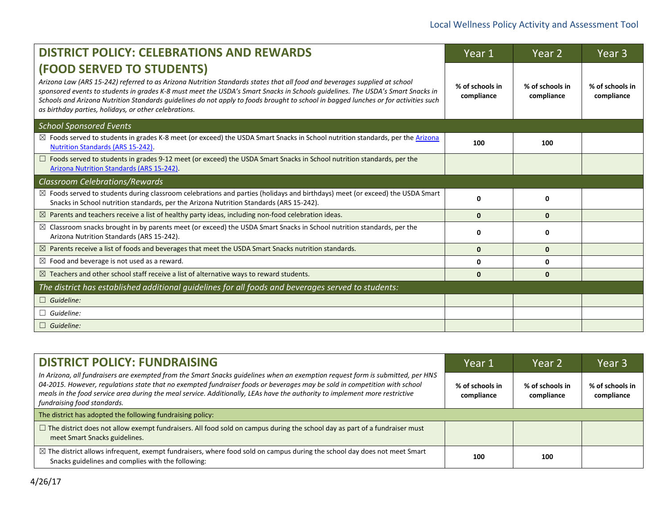| <b>DISTRICT POLICY: CELEBRATIONS AND REWARDS</b>                                                                                                                                                                                                                                                                                                                                                                                                                                         | Year 1                        | Year 2                        | Year 3                        |
|------------------------------------------------------------------------------------------------------------------------------------------------------------------------------------------------------------------------------------------------------------------------------------------------------------------------------------------------------------------------------------------------------------------------------------------------------------------------------------------|-------------------------------|-------------------------------|-------------------------------|
| (FOOD SERVED TO STUDENTS)<br>Arizona Law (ARS 15-242) referred to as Arizona Nutrition Standards states that all food and beverages supplied at school<br>sponsored events to students in grades K-8 must meet the USDA's Smart Snacks in Schools guidelines. The USDA's Smart Snacks in<br>Schools and Arizona Nutrition Standards guidelines do not apply to foods brought to school in bagged lunches or for activities such<br>as birthday parties, holidays, or other celebrations. | % of schools in<br>compliance | % of schools in<br>compliance | % of schools in<br>compliance |
| <b>School Sponsored Events</b>                                                                                                                                                                                                                                                                                                                                                                                                                                                           |                               |                               |                               |
| $\boxtimes$ Foods served to students in grades K-8 meet (or exceed) the USDA Smart Snacks in School nutrition standards, per the Arizona<br><b>Nutrition Standards (ARS 15-242).</b>                                                                                                                                                                                                                                                                                                     | 100                           | 100                           |                               |
| $\Box$ Foods served to students in grades 9-12 meet (or exceed) the USDA Smart Snacks in School nutrition standards, per the<br>Arizona Nutrition Standards (ARS 15-242).                                                                                                                                                                                                                                                                                                                |                               |                               |                               |
| <b>Classroom Celebrations/Rewards</b>                                                                                                                                                                                                                                                                                                                                                                                                                                                    |                               |                               |                               |
| $\boxtimes$ Foods served to students during classroom celebrations and parties (holidays and birthdays) meet (or exceed) the USDA Smart<br>Snacks in School nutrition standards, per the Arizona Nutrition Standards (ARS 15-242).                                                                                                                                                                                                                                                       | 0                             | 0                             |                               |
| $\boxtimes$ Parents and teachers receive a list of healthy party ideas, including non-food celebration ideas.                                                                                                                                                                                                                                                                                                                                                                            | $\mathbf{0}$                  | $\mathbf{0}$                  |                               |
| $\boxtimes$ Classroom snacks brought in by parents meet (or exceed) the USDA Smart Snacks in School nutrition standards, per the<br>Arizona Nutrition Standards (ARS 15-242).                                                                                                                                                                                                                                                                                                            | 0                             | 0                             |                               |
| $\boxtimes$ Parents receive a list of foods and beverages that meet the USDA Smart Snacks nutrition standards.                                                                                                                                                                                                                                                                                                                                                                           | $\mathbf{0}$                  | $\mathbf{0}$                  |                               |
| $\boxtimes$ Food and beverage is not used as a reward.                                                                                                                                                                                                                                                                                                                                                                                                                                   | 0                             | 0                             |                               |
| $\boxtimes$ Teachers and other school staff receive a list of alternative ways to reward students.                                                                                                                                                                                                                                                                                                                                                                                       | $\mathbf{0}$                  | $\mathbf{0}$                  |                               |
| The district has established additional guidelines for all foods and beverages served to students:                                                                                                                                                                                                                                                                                                                                                                                       |                               |                               |                               |
| $\Box$ Guideline:                                                                                                                                                                                                                                                                                                                                                                                                                                                                        |                               |                               |                               |
| $\Box$ Guideline:                                                                                                                                                                                                                                                                                                                                                                                                                                                                        |                               |                               |                               |
| $\Box$ Guideline:                                                                                                                                                                                                                                                                                                                                                                                                                                                                        |                               |                               |                               |

| <b>DISTRICT POLICY: FUNDRAISING</b>                                                                                                                                                                                                                                                                                                                                                                                       | Year 1                        | Year 2                        | Year 3                        |
|---------------------------------------------------------------------------------------------------------------------------------------------------------------------------------------------------------------------------------------------------------------------------------------------------------------------------------------------------------------------------------------------------------------------------|-------------------------------|-------------------------------|-------------------------------|
| In Arizona, all fundraisers are exempted from the Smart Snacks guidelines when an exemption request form is submitted, per HNS<br>04-2015. However, regulations state that no exempted fundraiser foods or beverages may be sold in competition with school<br>meals in the food service area during the meal service. Additionally, LEAs have the authority to implement more restrictive<br>fundraising food standards. | % of schools in<br>compliance | % of schools in<br>compliance | % of schools in<br>compliance |
| The district has adopted the following fundraising policy:                                                                                                                                                                                                                                                                                                                                                                |                               |                               |                               |
| $\Box$ The district does not allow exempt fundraisers. All food sold on campus during the school day as part of a fundraiser must<br>meet Smart Snacks guidelines.                                                                                                                                                                                                                                                        |                               |                               |                               |
| $\boxtimes$ The district allows infrequent, exempt fundraisers, where food sold on campus during the school day does not meet Smart<br>Snacks guidelines and complies with the following:                                                                                                                                                                                                                                 | 100                           | 100                           |                               |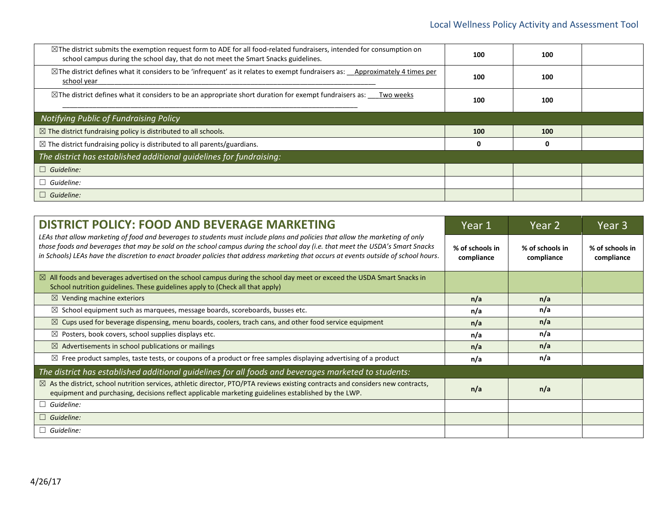| $\boxtimes$ The district submits the exemption request form to ADE for all food-related fundraisers, intended for consumption on<br>school campus during the school day, that do not meet the Smart Snacks guidelines. | 100 | 100 |  |
|------------------------------------------------------------------------------------------------------------------------------------------------------------------------------------------------------------------------|-----|-----|--|
| $\boxtimes$ The district defines what it considers to be 'infrequent' as it relates to exempt fundraisers as: Approximately 4 times per<br>school year                                                                 | 100 | 100 |  |
| $\boxtimes$ The district defines what it considers to be an appropriate short duration for exempt fundraisers as:<br>Two weeks                                                                                         | 100 | 100 |  |
| Notifying Public of Fundraising Policy                                                                                                                                                                                 |     |     |  |
|                                                                                                                                                                                                                        |     |     |  |
| $\boxtimes$ The district fundraising policy is distributed to all schools.                                                                                                                                             | 100 | 100 |  |
| $\boxtimes$ The district fundraising policy is distributed to all parents/guardians.                                                                                                                                   | 0   |     |  |
| The district has established additional quidelines for fundraising:                                                                                                                                                    |     |     |  |
| $\Box$ Guideline:                                                                                                                                                                                                      |     |     |  |
| Guideline:                                                                                                                                                                                                             |     |     |  |

| <b>DISTRICT POLICY: FOOD AND BEVERAGE MARKETING</b>                                                                                                                                                                                                                                                                                                                                                   | Year 1                        | Year 2                        | Year 3                        |
|-------------------------------------------------------------------------------------------------------------------------------------------------------------------------------------------------------------------------------------------------------------------------------------------------------------------------------------------------------------------------------------------------------|-------------------------------|-------------------------------|-------------------------------|
| LEAs that allow marketing of food and beverages to students must include plans and policies that allow the marketing of only<br>those foods and beverages that may be sold on the school campus during the school day (i.e. that meet the USDA's Smart Snacks<br>in Schools) LEAs have the discretion to enact broader policies that address marketing that occurs at events outside of school hours. | % of schools in<br>compliance | % of schools in<br>compliance | % of schools in<br>compliance |
| $\boxtimes$ All foods and beverages advertised on the school campus during the school day meet or exceed the USDA Smart Snacks in<br>School nutrition guidelines. These guidelines apply to (Check all that apply)                                                                                                                                                                                    |                               |                               |                               |
| $\boxtimes$ Vending machine exteriors                                                                                                                                                                                                                                                                                                                                                                 | n/a                           | n/a                           |                               |
| $\boxtimes$ School equipment such as marquees, message boards, scoreboards, busses etc.                                                                                                                                                                                                                                                                                                               | n/a                           | n/a                           |                               |
| $\boxtimes$ Cups used for beverage dispensing, menu boards, coolers, trach cans, and other food service equipment                                                                                                                                                                                                                                                                                     | n/a                           | n/a                           |                               |
| $\boxtimes$ Posters, book covers, school supplies displays etc.                                                                                                                                                                                                                                                                                                                                       | n/a                           | n/a                           |                               |
| $\boxtimes$ Advertisements in school publications or mailings                                                                                                                                                                                                                                                                                                                                         | n/a                           | n/a                           |                               |
| $\boxtimes$ Free product samples, taste tests, or coupons of a product or free samples displaying advertising of a product                                                                                                                                                                                                                                                                            | n/a                           | n/a                           |                               |
| The district has established additional quidelines for all foods and beverages marketed to students:                                                                                                                                                                                                                                                                                                  |                               |                               |                               |
| $\boxtimes$ As the district, school nutrition services, athletic director, PTO/PTA reviews existing contracts and considers new contracts,<br>equipment and purchasing, decisions reflect applicable marketing guidelines established by the LWP.                                                                                                                                                     | n/a                           | n/a                           |                               |
| Guideline:                                                                                                                                                                                                                                                                                                                                                                                            |                               |                               |                               |
| $\Box$ Guideline:                                                                                                                                                                                                                                                                                                                                                                                     |                               |                               |                               |
| Guideline:                                                                                                                                                                                                                                                                                                                                                                                            |                               |                               |                               |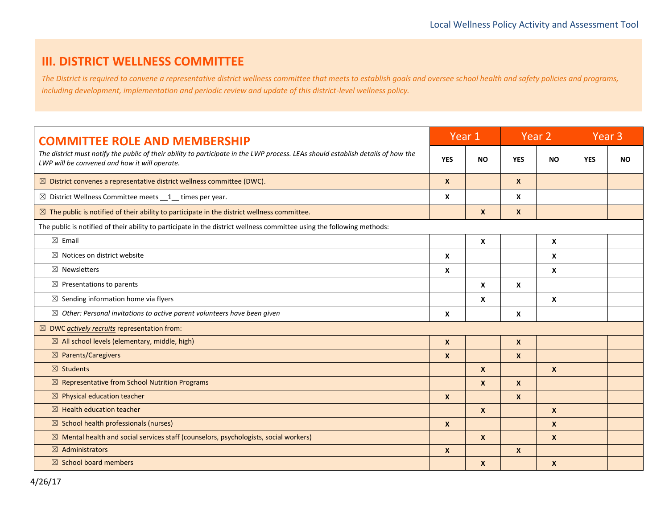# **III. DISTRICT WELLNESS COMMITTEE**

*The District is required to convene a representative district wellness committee that meets to establish goals and oversee school health and safety policies and programs, including development, implementation and periodic review and update of this district-level wellness policy.*

| <b>COMMITTEE ROLE AND MEMBERSHIP</b>                                                                                                                                              |                  | Year 1           |                  | Year <sub>2</sub>         | Year <sub>3</sub> |           |
|-----------------------------------------------------------------------------------------------------------------------------------------------------------------------------------|------------------|------------------|------------------|---------------------------|-------------------|-----------|
| The district must notify the public of their ability to participate in the LWP process. LEAs should establish details of how the<br>LWP will be convened and how it will operate. | <b>YES</b>       | <b>NO</b>        | <b>YES</b>       | <b>NO</b>                 | <b>YES</b>        | <b>NO</b> |
| $\boxtimes$ District convenes a representative district wellness committee (DWC).                                                                                                 | $\boldsymbol{x}$ |                  | $\mathbf{x}$     |                           |                   |           |
| $\boxtimes$ District Wellness Committee meets $1$ times per year.                                                                                                                 | X                |                  | X                |                           |                   |           |
| $\boxtimes$ The public is notified of their ability to participate in the district wellness committee.                                                                            |                  | $\mathbf{x}$     | $\boldsymbol{x}$ |                           |                   |           |
| The public is notified of their ability to participate in the district wellness committee using the following methods:                                                            |                  |                  |                  |                           |                   |           |
| $\boxtimes$ Email                                                                                                                                                                 |                  | X                |                  | $\boldsymbol{\mathsf{x}}$ |                   |           |
| $\boxtimes$ Notices on district website                                                                                                                                           | X                |                  |                  | X                         |                   |           |
| $\boxtimes$ Newsletters                                                                                                                                                           | $\mathbf{x}$     |                  |                  | X                         |                   |           |
| $\boxtimes$ Presentations to parents                                                                                                                                              |                  | $\boldsymbol{x}$ | X                |                           |                   |           |
| $\boxtimes$ Sending information home via flyers                                                                                                                                   |                  | $\mathbf{x}$     |                  | $\boldsymbol{x}$          |                   |           |
| $\boxtimes$ Other: Personal invitations to active parent volunteers have been given                                                                                               | X                |                  | X                |                           |                   |           |
| $\boxtimes$ DWC <i>actively recruits</i> representation from:                                                                                                                     |                  |                  |                  |                           |                   |           |
| $\boxtimes$ All school levels (elementary, middle, high)                                                                                                                          | $\boldsymbol{x}$ |                  | $\mathbf{x}$     |                           |                   |           |
| ⊠ Parents/Caregivers                                                                                                                                                              | $\mathbf{x}$     |                  | $\mathbf{x}$     |                           |                   |           |
| $\boxtimes$ Students                                                                                                                                                              |                  | $\boldsymbol{X}$ |                  | $\boldsymbol{X}$          |                   |           |
| $\boxtimes$ Representative from School Nutrition Programs                                                                                                                         |                  | $\mathbf{x}$     | $\mathbf{x}$     |                           |                   |           |
| $\boxtimes$ Physical education teacher                                                                                                                                            | $\mathbf{x}$     |                  | $\mathbf{x}$     |                           |                   |           |
| $\boxtimes$ Health education teacher                                                                                                                                              |                  | $\mathbf{x}$     |                  | $\boldsymbol{X}$          |                   |           |
| $\boxtimes$ School health professionals (nurses)                                                                                                                                  | $\mathbf{x}$     |                  |                  | $\boldsymbol{X}$          |                   |           |
| $\boxtimes$ Mental health and social services staff (counselors, psychologists, social workers)                                                                                   |                  | $\mathbf{x}$     |                  | $\mathbf{x}$              |                   |           |
| $\boxtimes$ Administrators                                                                                                                                                        | $\boldsymbol{x}$ |                  | $\mathbf{x}$     |                           |                   |           |
| $\boxtimes$ School board members                                                                                                                                                  |                  | $\boldsymbol{x}$ |                  | X                         |                   |           |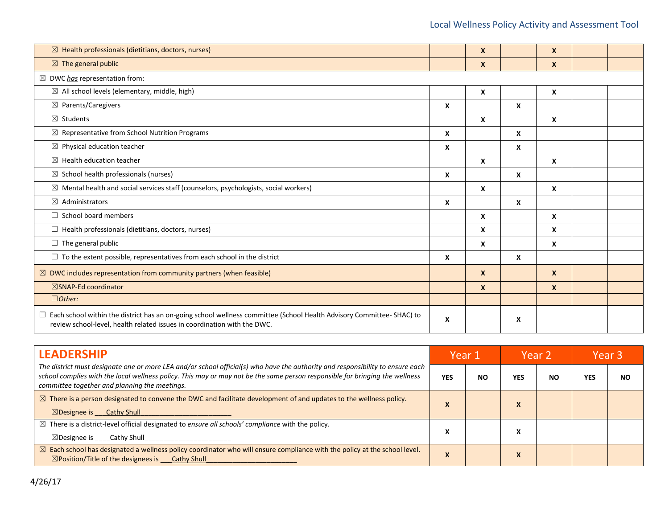| $\boxtimes$ Health professionals (dietitians, doctors, nurses)                                                                                                                                          |   | $\mathbf{x}$              |   | $\boldsymbol{x}$          |  |
|---------------------------------------------------------------------------------------------------------------------------------------------------------------------------------------------------------|---|---------------------------|---|---------------------------|--|
| $\boxtimes$ The general public                                                                                                                                                                          |   | $\mathbf{x}$              |   | $\mathbf{x}$              |  |
| $\boxtimes$ DWC has representation from:                                                                                                                                                                |   |                           |   |                           |  |
| $\boxtimes$ All school levels (elementary, middle, high)                                                                                                                                                |   | $\boldsymbol{x}$          |   | $\boldsymbol{\mathsf{x}}$ |  |
| $\boxtimes$ Parents/Caregivers                                                                                                                                                                          | X |                           | X |                           |  |
| $\boxtimes$ Students                                                                                                                                                                                    |   | $\boldsymbol{x}$          |   | $\boldsymbol{\mathsf{x}}$ |  |
| $\boxtimes$ Representative from School Nutrition Programs                                                                                                                                               | X |                           | X |                           |  |
| $\boxtimes$ Physical education teacher                                                                                                                                                                  | X |                           | X |                           |  |
| $\boxtimes$ Health education teacher                                                                                                                                                                    |   | X                         |   | $\boldsymbol{\mathsf{x}}$ |  |
| $\boxtimes$ School health professionals (nurses)                                                                                                                                                        | X |                           | X |                           |  |
| $\boxtimes$ Mental health and social services staff (counselors, psychologists, social workers)                                                                                                         |   | $\boldsymbol{\mathsf{x}}$ |   | $\boldsymbol{\mathsf{x}}$ |  |
| $\boxtimes$ Administrators                                                                                                                                                                              | X |                           | X |                           |  |
| $\Box$ School board members                                                                                                                                                                             |   | $\boldsymbol{x}$          |   | $\boldsymbol{\mathsf{x}}$ |  |
| $\Box$ Health professionals (dietitians, doctors, nurses)                                                                                                                                               |   | X                         |   | $\boldsymbol{\mathsf{x}}$ |  |
| $\Box$ The general public                                                                                                                                                                               |   | $\boldsymbol{x}$          |   | $\boldsymbol{\mathsf{x}}$ |  |
| $\Box$ To the extent possible, representatives from each school in the district                                                                                                                         | X |                           | X |                           |  |
| $\boxtimes$ DWC includes representation from community partners (when feasible)                                                                                                                         |   | $\mathbf{x}$              |   | $\boldsymbol{X}$          |  |
| $\boxtimes$ SNAP-Ed coordinator                                                                                                                                                                         |   | $\mathbf{x}$              |   | $\boldsymbol{x}$          |  |
| $\Box$ Other:                                                                                                                                                                                           |   |                           |   |                           |  |
| $\Box$ Each school within the district has an on-going school wellness committee (School Health Advisory Committee-SHAC) to<br>review school-level, health related issues in coordination with the DWC. | X |                           | X |                           |  |

| <b>LEADERSHIP</b>                                                                                                                                                                                                                                                                                               | Year 1                                         |           |                                                    |           | Year <sub>2</sub> |           |  | Year 3 |
|-----------------------------------------------------------------------------------------------------------------------------------------------------------------------------------------------------------------------------------------------------------------------------------------------------------------|------------------------------------------------|-----------|----------------------------------------------------|-----------|-------------------|-----------|--|--------|
| The district must designate one or more LEA and/or school official(s) who have the authority and responsibility to ensure each<br>school complies with the local wellness policy. This may or may not be the same person responsible for bringing the wellness<br>committee together and planning the meetings. | <b>YES</b>                                     | <b>NO</b> | <b>YES</b>                                         | <b>NO</b> | <b>YES</b>        | <b>NO</b> |  |        |
| $\boxtimes$ There is a person designated to convene the DWC and facilitate development of and updates to the wellness policy.<br>$\boxtimes$ Designee is Cathy Shull                                                                                                                                            | л                                              |           | $\boldsymbol{\mathcal{L}}$                         |           |                   |           |  |        |
| $\boxtimes$ There is a district-level official designated to ensure all schools' compliance with the policy.<br>$\boxtimes$ Designee is<br>Cathy Shull                                                                                                                                                          | $\overline{\phantom{a}}$                       |           | Λ                                                  |           |                   |           |  |        |
| $\boxtimes$ Each school has designated a wellness policy coordinator who will ensure compliance with the policy at the school level.<br>$\boxtimes$ Position/Title of the designees is<br><b>Cathy Shull</b>                                                                                                    | $\overline{\phantom{a}}$<br>$\mathbf{\Lambda}$ |           | $\overline{\phantom{a}}$<br>$\boldsymbol{\lambda}$ |           |                   |           |  |        |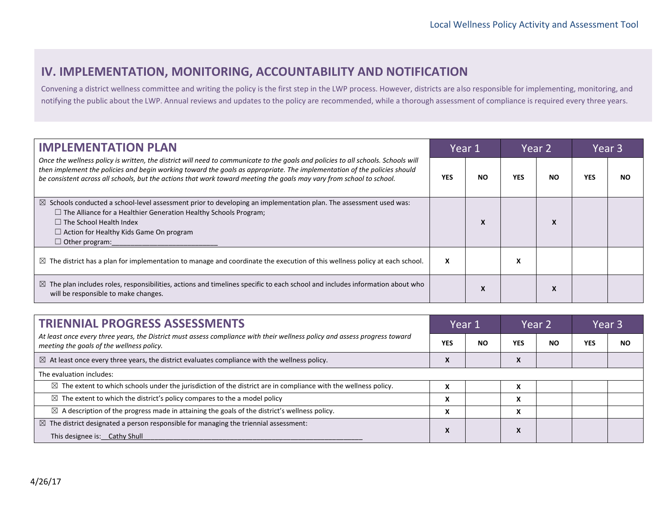# **IV. IMPLEMENTATION, MONITORING, ACCOUNTABILITY AND NOTIFICATION**

Convening a district wellness committee and writing the policy is the first step in the LWP process. However, districts are also responsible for implementing, monitoring, and notifying the public about the LWP. Annual reviews and updates to the policy are recommended, while a thorough assessment of compliance is required every three years.

| <b>IMPLEMENTATION PLAN</b>                                                                                                                                                                                                                                                                                                                                                            | Year 1                    |     |     | Year 2    |            | Year <sub>3</sub> |
|---------------------------------------------------------------------------------------------------------------------------------------------------------------------------------------------------------------------------------------------------------------------------------------------------------------------------------------------------------------------------------------|---------------------------|-----|-----|-----------|------------|-------------------|
| Once the wellness policy is written, the district will need to communicate to the goals and policies to all schools. Schools will<br>then implement the policies and begin working toward the goals as appropriate. The implementation of the policies should<br>be consistent across all schools, but the actions that work toward meeting the goals may vary from school to school. | <b>YES</b>                | NO. | YES | <b>NO</b> | <b>YES</b> | <b>NO</b>         |
| $\boxtimes$ Schools conducted a school-level assessment prior to developing an implementation plan. The assessment used was:<br>$\Box$ The Alliance for a Healthier Generation Healthy Schools Program;<br>$\Box$ The School Health Index<br>$\Box$ Action for Healthy Kids Game On program<br>$\Box$ Other program:                                                                  |                           |     |     | X         |            |                   |
| $\boxtimes$ The district has a plan for implementation to manage and coordinate the execution of this wellness policy at each school.                                                                                                                                                                                                                                                 | $\boldsymbol{\mathsf{x}}$ |     | л   |           |            |                   |
| $\boxtimes$ The plan includes roles, responsibilities, actions and timelines specific to each school and includes information about who<br>will be responsible to make changes.                                                                                                                                                                                                       |                           |     |     | X         |            |                   |

| <b>TRIENNIAL PROGRESS ASSESSMENTS</b>                                                                                                                                   | Year 1                    |           |                        |           |            | Year 2    | Year 3 |  |
|-------------------------------------------------------------------------------------------------------------------------------------------------------------------------|---------------------------|-----------|------------------------|-----------|------------|-----------|--------|--|
| At least once every three years, the District must assess compliance with their wellness policy and assess progress toward<br>meeting the goals of the wellness policy. | <b>YES</b>                | <b>NO</b> | YES                    | <b>NO</b> | <b>YES</b> | <b>NO</b> |        |  |
| $\boxtimes$ At least once every three years, the district evaluates compliance with the wellness policy.                                                                | Λ                         |           | x                      |           |            |           |        |  |
| The evaluation includes:                                                                                                                                                |                           |           |                        |           |            |           |        |  |
| $\boxtimes$ The extent to which schools under the jurisdiction of the district are in compliance with the wellness policy.                                              | £                         |           | x                      |           |            |           |        |  |
| $\boxtimes$ The extent to which the district's policy compares to the a model policy                                                                                    | Λ                         |           | v<br>Λ                 |           |            |           |        |  |
| $\boxtimes$ A description of the progress made in attaining the goals of the district's wellness policy.                                                                | $\mathbf{v}$<br>$\lambda$ |           | x                      |           |            |           |        |  |
| $\boxtimes$ The district designated a person responsible for managing the triennial assessment:                                                                         |                           |           |                        |           |            |           |        |  |
| This designee is: Cathy Shull                                                                                                                                           |                           | X         | $\boldsymbol{\Lambda}$ |           |            |           |        |  |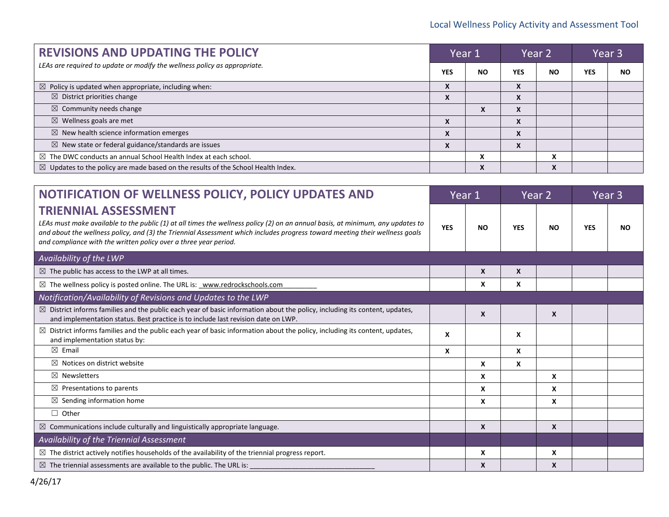| <b>REVISIONS AND UPDATING THE POLICY</b>                                                    | Year 1     |              |                        | Year 2       |            | Year 3    |
|---------------------------------------------------------------------------------------------|------------|--------------|------------------------|--------------|------------|-----------|
| LEAs are required to update or modify the wellness policy as appropriate.                   | <b>YES</b> | <b>NO</b>    | <b>YES</b>             | <b>NO</b>    | <b>YES</b> | <b>NO</b> |
| $\boxtimes$ Policy is updated when appropriate, including when:                             |            |              | $\lambda$              |              |            |           |
| $\boxtimes$ District priorities change                                                      |            |              | $\boldsymbol{\Lambda}$ |              |            |           |
| $\boxtimes$ Community needs change                                                          |            | X            | $\boldsymbol{\Lambda}$ |              |            |           |
| $\boxtimes$ Wellness goals are met                                                          | Х          |              | $\boldsymbol{\Lambda}$ |              |            |           |
| $\boxtimes$ New health science information emerges                                          |            |              |                        |              |            |           |
| $\boxtimes$ New state or federal guidance/standards are issues                              |            |              | $\boldsymbol{\Lambda}$ |              |            |           |
| $\boxtimes$ The DWC conducts an annual School Health Index at each school.                  |            | $\mathbf{v}$ |                        | $\mathbf{v}$ |            |           |
| $\boxtimes$ Updates to the policy are made based on the results of the School Health Index. |            | $\mathbf{v}$ |                        | X            |            |           |

| NOTIFICATION OF WELLNESS POLICY, POLICY UPDATES AND                                                                                                                                                                                                                                                                                                              | Year 1                    |           |            | Year 2                    | Year <sub>3</sub> |           |
|------------------------------------------------------------------------------------------------------------------------------------------------------------------------------------------------------------------------------------------------------------------------------------------------------------------------------------------------------------------|---------------------------|-----------|------------|---------------------------|-------------------|-----------|
| <b>TRIENNIAL ASSESSMENT</b><br>LEAs must make available to the public (1) at all times the wellness policy (2) on an annual basis, at minimum, any updates to<br>and about the wellness policy, and (3) the Triennial Assessment which includes progress toward meeting their wellness goals<br>and compliance with the written policy over a three year period. | <b>YES</b>                | <b>NO</b> | <b>YES</b> | <b>NO</b>                 | <b>YES</b>        | <b>NO</b> |
| Availability of the LWP                                                                                                                                                                                                                                                                                                                                          |                           |           |            |                           |                   |           |
| $\boxtimes$ The public has access to the LWP at all times.                                                                                                                                                                                                                                                                                                       |                           | X         | X          |                           |                   |           |
| ⊠ The wellness policy is posted online. The URL is: _www.redrockschools.com                                                                                                                                                                                                                                                                                      |                           | X         | X          |                           |                   |           |
| Notification/Availability of Revisions and Updates to the LWP                                                                                                                                                                                                                                                                                                    |                           |           |            |                           |                   |           |
| $\boxtimes$ District informs families and the public each year of basic information about the policy, including its content, updates,<br>and implementation status. Best practice is to include last revision date on LWP.                                                                                                                                       |                           | X         |            | $\boldsymbol{\mathsf{x}}$ |                   |           |
| $\boxtimes$ District informs families and the public each year of basic information about the policy, including its content, updates,<br>and implementation status by:                                                                                                                                                                                           | $\boldsymbol{\mathsf{x}}$ |           | X          |                           |                   |           |
| $\boxtimes$ Email                                                                                                                                                                                                                                                                                                                                                | X                         |           | X          |                           |                   |           |
| $\boxtimes$ Notices on district website                                                                                                                                                                                                                                                                                                                          |                           | X         | X          |                           |                   |           |
| $\boxtimes$ Newsletters                                                                                                                                                                                                                                                                                                                                          |                           | X         |            | X                         |                   |           |
| $\boxtimes$ Presentations to parents                                                                                                                                                                                                                                                                                                                             |                           | X         |            | X                         |                   |           |
| $\boxtimes$ Sending information home                                                                                                                                                                                                                                                                                                                             |                           | X         |            | X                         |                   |           |
| $\Box$ Other                                                                                                                                                                                                                                                                                                                                                     |                           |           |            |                           |                   |           |
| $\boxtimes$ Communications include culturally and linguistically appropriate language.                                                                                                                                                                                                                                                                           |                           | X         |            | $\boldsymbol{\mathsf{x}}$ |                   |           |
| Availability of the Triennial Assessment                                                                                                                                                                                                                                                                                                                         |                           |           |            |                           |                   |           |
| $\boxtimes$ The district actively notifies households of the availability of the triennial progress report.                                                                                                                                                                                                                                                      |                           | X         |            | X                         |                   |           |
| $\boxtimes$ The triennial assessments are available to the public. The URL is:                                                                                                                                                                                                                                                                                   |                           | X         |            | X                         |                   |           |